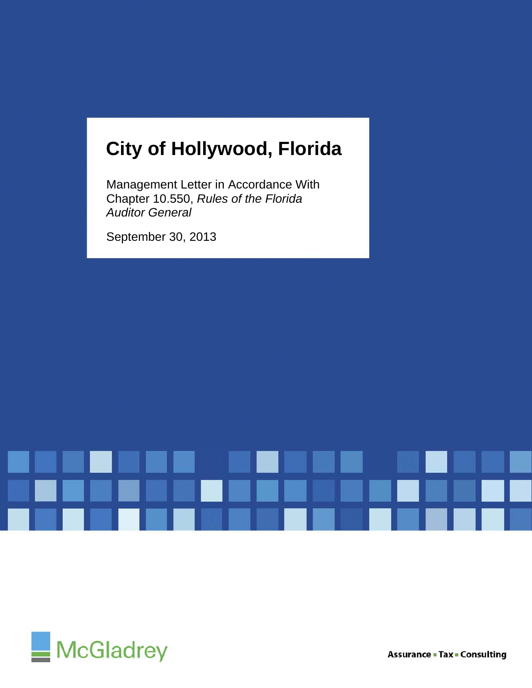# **City of Hollywood, Florida**

Management Letter in Accordance With Chapter 10.550, *Rules of the Florida Auditor General* 

September 30, 2013



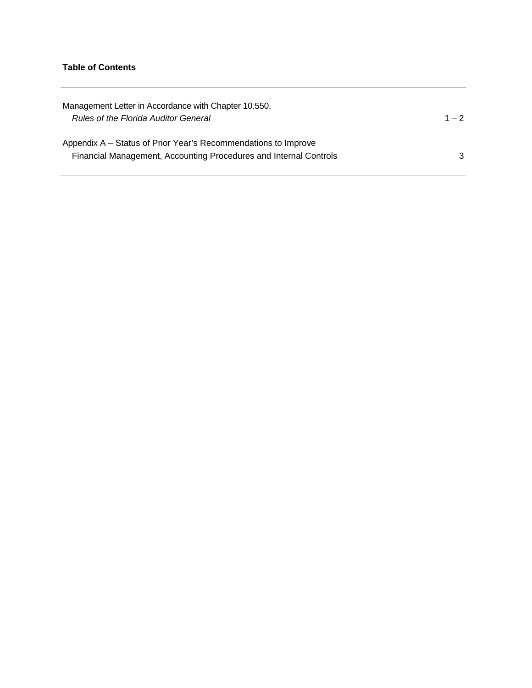## **Table of Contents**

| Management Letter in Accordance with Chapter 10.550,<br><b>Rules of the Florida Auditor General</b>                                 | $1 - 2$ |
|-------------------------------------------------------------------------------------------------------------------------------------|---------|
| Appendix A - Status of Prior Year's Recommendations to Improve<br>Financial Management, Accounting Procedures and Internal Controls | 3       |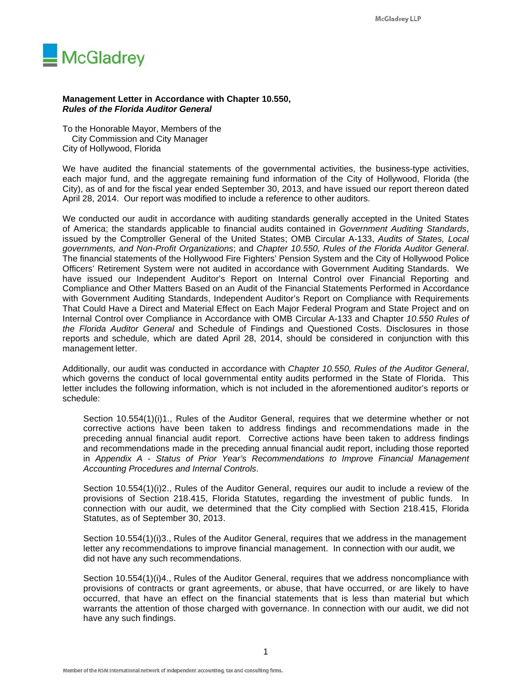

#### **Management Letter in Accordance with Chapter 10.550,**  *Rules of the Florida Auditor General*

To the Honorable Mayor, Members of the City Commission and City Manager City of Hollywood, Florida

We have audited the financial statements of the governmental activities, the business-type activities, each major fund, and the aggregate remaining fund information of the City of Hollywood, Florida (the City), as of and for the fiscal year ended September 30, 2013, and have issued our report thereon dated April 28, 2014. Our report was modified to include a reference to other auditors.

We conducted our audit in accordance with auditing standards generally accepted in the United States of America; the standards applicable to financial audits contained in *Government Auditing Standards*, issued by the Comptroller General of the United States; OMB Circular A-133, *Audits of States, Local governments, and Non-Profit Organizations*; and *Chapter 10.550, Rules of the Florida Auditor General*. The financial statements of the Hollywood Fire Fighters' Pension System and the City of Hollywood Police Officers' Retirement System were not audited in accordance with Government Auditing Standards. We have issued our Independent Auditor's Report on Internal Control over Financial Reporting and Compliance and Other Matters Based on an Audit of the Financial Statements Performed in Accordance with Government Auditing Standards, Independent Auditor's Report on Compliance with Requirements That Could Have a Direct and Material Effect on Each Major Federal Program and State Project and on Internal Control over Compliance in Accordance with OMB Circular A-133 and Chapter *10.550 Rules of the Florida Auditor General* and Schedule of Findings and Questioned Costs. Disclosures in those reports and schedule, which are dated April 28, 2014, should be considered in conjunction with this management letter.

Additionally, our audit was conducted in accordance with *Chapter 10.550, Rules of the Auditor General*, which governs the conduct of local governmental entity audits performed in the State of Florida. This letter includes the following information, which is not included in the aforementioned auditor's reports or schedule:

Section 10.554(1)(i)1., Rules of the Auditor General, requires that we determine whether or not corrective actions have been taken to address findings and recommendations made in the preceding annual financial audit report. Corrective actions have been taken to address findings and recommendations made in the preceding annual financial audit report, including those reported in *Appendix A* - *Status of Prior Year's Recommendations to Improve Financial Management Accounting Procedures and Internal Controls*.

Section 10.554(1)(i)2., Rules of the Auditor General, requires our audit to include a review of the provisions of Section 218.415, Florida Statutes, regarding the investment of public funds. In connection with our audit, we determined that the City complied with Section 218.415, Florida Statutes, as of September 30, 2013.

Section 10.554(1)(i)3., Rules of the Auditor General, requires that we address in the management letter any recommendations to improve financial management. In connection with our audit, we did not have any such recommendations.

Section 10.554(1)(i)4., Rules of the Auditor General, requires that we address noncompliance with provisions of contracts or grant agreements, or abuse, that have occurred, or are likely to have occurred, that have an effect on the financial statements that is less than material but which warrants the attention of those charged with governance. In connection with our audit, we did not have any such findings.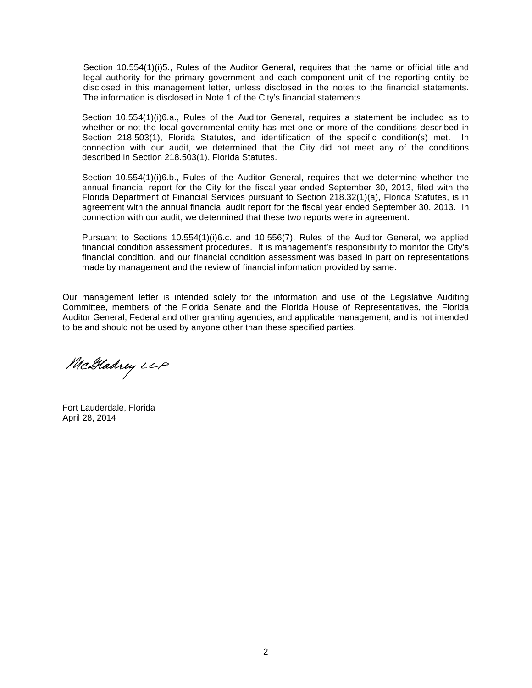Section 10.554(1)(i)5., Rules of the Auditor General, requires that the name or official title and legal authority for the primary government and each component unit of the reporting entity be disclosed in this management letter, unless disclosed in the notes to the financial statements. The information is disclosed in Note 1 of the City's financial statements.

Section 10.554(1)(i)6.a., Rules of the Auditor General, requires a statement be included as to whether or not the local governmental entity has met one or more of the conditions described in Section 218.503(1), Florida Statutes, and identification of the specific condition(s) met. In connection with our audit, we determined that the City did not meet any of the conditions described in Section 218.503(1), Florida Statutes.

Section 10.554(1)(i)6.b., Rules of the Auditor General, requires that we determine whether the annual financial report for the City for the fiscal year ended September 30, 2013, filed with the Florida Department of Financial Services pursuant to Section 218.32(1)(a), Florida Statutes, is in agreement with the annual financial audit report for the fiscal year ended September 30, 2013. In connection with our audit, we determined that these two reports were in agreement.

Pursuant to Sections 10.554(1)(i)6.c. and 10.556(7), Rules of the Auditor General, we applied financial condition assessment procedures. It is management's responsibility to monitor the City's financial condition, and our financial condition assessment was based in part on representations made by management and the review of financial information provided by same.

Our management letter is intended solely for the information and use of the Legislative Auditing Committee, members of the Florida Senate and the Florida House of Representatives, the Florida Auditor General, Federal and other granting agencies, and applicable management, and is not intended to be and should not be used by anyone other than these specified parties.

McGladrey LLP

Fort Lauderdale, Florida April 28, 2014